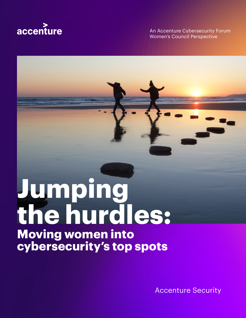

An Accenture Cybersecurity Forum Women's Council Perspective

# **Jumping the hurdles: Moving women into cybersecurity's top spots**

Accenture Security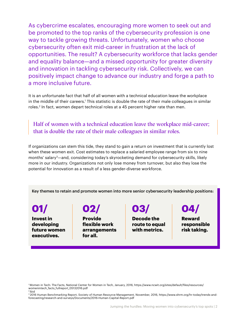As cybercrime escalates, encouraging more women to seek out and be promoted to the top ranks of the cybersecurity profession is one way to tackle growing threats. Unfortunately, women who choose cybersecurity often exit mid-career in frustration at the lack of opportunities. The result? A cybersecurity workforce that lacks gender and equality balance—and a missed opportunity for greater diversity and innovation in tackling cybersecurity risk. Collectively, we can positively impact change to advance our industry and forge a path to a more inclusive future.

It is an unfortunate fact that half of all women with a technical education leave the workplace in the middle of their careers.<sup>1</sup> This statistic is double the rate of their male colleagues in similar roles.2 In fact, women depart technical roles at a 45 percent higher rate than men.

Half of women with a technical education leave the workplace mid-career; that is double the rate of their male colleagues in similar roles.

If organizations can stem this tide, they stand to gain a return on investment that is currently lost when these women exit. Cost estimates to replace a salaried employee range from six to nine months' salary<sup>3</sup>—and, considering today's skyrocketing demand for cybersecurity skills, likely more in our industry. Organizations not only lose money from turnover, but also they lose the potential for innovation as a result of a less gender-diverse workforce.

Key themes to retain and promote women into more senior cybersecurity leadership positions:

**01/**

**Invest in developing future women executives.**

# **02/**

**Provide flexible work arrangements for all.**

# **03/**

**Decode the route to equal with metrics.**

**04/**

**Reward responsible risk taking.**

<sup>1</sup>Women in Tech: The Facts, National Center for Women in Tech, January, 2016, https://www.ncwit.org/sites/default/files/resources/ womenintech\_facts\_fullreport\_05132016.pdf 2 Ibid

<sup>3 2016</sup> Human Benchmarking Report, Society of Human Resource Management, November, 2016, https://www.shrm.org/hr-today/trends-andforecasting/research-and-surveys/Documents/2016-Human-Capital-Report.pdf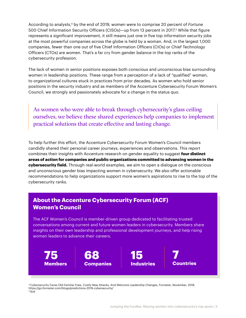According to analysts,<sup>4</sup> by the end of 2019, women were to comprise 20 percent of *Fortune* 500 Chief Information Security Officers (CISOs)—up from 13 percent in 2017.5 While that figure represents a significant improvement, it still means just one in five top information security jobs at the most powerful companies across the globe is held by a woman. And, in the largest 1,000 companies, fewer than one out of five Chief Information Officers (CIOs) or Chief Technology Officers (CTOs) are women. That's a far cry from gender balance in the top ranks of the cybersecurity profession.

The lack of women in senior positions exposes both conscious and unconscious bias surrounding women in leadership positions. These range from a perception of a lack of "qualified" women, to organizational cultures stuck in practices from prior decades. As women who hold senior positions in the security industry and as members of the Accenture Cybersecurity Forum Women's Council, we strongly and passionately advocate for a change in the status quo.

As women who were able to break through cybersecurity's glass ceiling ourselves, we believe these shared experiences help companies to implement practical solutions that create effective and lasting change.

To help further this effort, the Accenture Cybersecurity Forum Women's Council members candidly shared their personal career journeys, experiences and observations. This report combines their insights with Accenture research on gender equality to suggest **four distinct areas of action for companies and public organizations committed to advancing women in the cybersecurity field.** Through real-world examples, we aim to open a dialogue on the conscious and unconscious gender bias impacting women in cybersecurity. We also offer actionable recommendations to help organizations support more women's aspirations to rise to the top of the cybersecurity ranks.



4 Cybersecurity Faces Old Familiar Foes, Costly New Attacks, And Welcome Leadership Changes, Forrester, November, 2018, https://go.forrester.com/blogs/predictions-2019-cybersecurity/  $5$  Ibid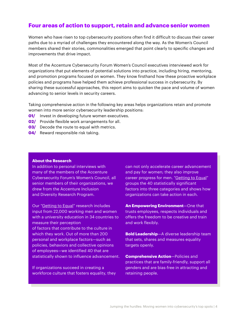### **Four areas of action to support, retain and advance senior women**

Women who have risen to top cybersecurity positions often find it difficult to discuss their career paths due to a myriad of challenges they encountered along the way. As the Women's Council members shared their stories, commonalities emerged that point clearly to specific changes and improvements that drive impact.

Most of the Accenture Cybersecurity Forum Women's Council executives interviewed work for organizations that put elements of potential solutions into practice, including hiring, mentoring, and promotion programs focused on women. They know firsthand how these proactive workplace policies and programs have helped them achieve professional success in cybersecurity. By sharing these successful approaches, this report aims to quicken the pace and volume of women advancing to senior levels in security careers.

Taking comprehensive action in the following key areas helps organizations retain and promote women into more senior cybersecurity leadership positions:

- **01/** Invest in developing future women executives.
- **02/** Provide flexible work arrangements for all.
- **03/** Decode the route to equal with metrics.
- **04/** Reward responsible risk taking.

#### **About the Research**

In addition to personal interviews with many of the members of the Accenture Cybersecurity Forum's Women's Council, all senior members of their organizations, we drew from the Accenture Inclusion and Diversity Research Program.

Our "Getting to Equal" research includes input from 22,000 working men and women with a university education in 34 countries to measure their perception of factors that contribute to the culture in which they work. Out of more than 200 personal and workplace factors—such as policies, behaviors and collective opinions of employees—we identified 40 that are statistically shown to influence advancement.

If organizations succeed in creating a workforce culture that fosters equality, they can not only accelerate career advancement and pay for women; they also improve career progress for men. "Getting to Equal" groups the 40 statistically significant factors into three categories and shows how organizations can take action in each.

**An Empowering Environment**—One that trusts employees, respects individuals and offers the freedom to be creative and train and work flexibly.

**Bold Leadership**—A diverse leadership team that sets, shares and measures equality targets openly.

**Comprehensive Action**—Policies and practices that are family-friendly, support all genders and are bias-free in attracting and retaining people.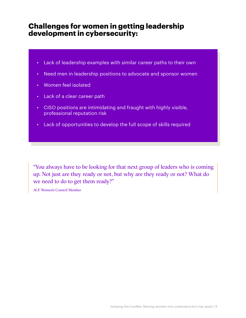### **Challenges for women in getting leadership development in cybersecurity:**

- Lack of leadership examples with similar career paths to their own
- Need men in leadership positions to advocate and sponsor women
- Women feel isolated
- Lack of a clear career path
- CISO positions are intimidating and fraught with highly visible, professional reputation risk
- Lack of opportunities to develop the full scope of skills required

"You always have to be looking for that next group of leaders who is coming up. Not just are they ready or not, but why are they ready or not? What do we need to do to get them ready?"

ACF Women's Council Member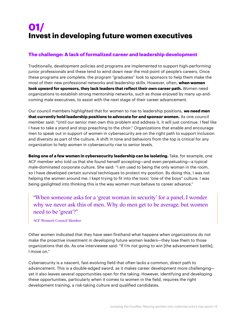# **01/ Invest in developing future women executives**

### **The challenge: A lack of formalized career and leadership development**

Traditionally, development policies and programs are implemented to support high-performing junior professionals and these tend to wind down near the mid-point of people's careers. Once these programs are complete, the program "graduates" look to sponsors to help them make the most of their new professional networks and leadership skills. However, often, **when women look upward for sponsors, they lack leaders that reflect their own career path.** Women need organizations to establish strong mentorship networks, such as those enjoyed by many up-andcoming male executives, to assist with the next stage of their career advancement.

Our council members highlighted that for women to rise to leadership positions, **we need men that currently hold leadership positions to advocate for and sponsor women.** As one council member said: "Until our senior men own this problem and address it, it will just continue. I feel like I have to take a stand and stop preaching to the choir." Organizations that enable and encourage men to speak out in support of women in cybersecurity are on the right path to support inclusion and diversity as part of the culture. A shift in tone and behaviors from the top is critical for any organization to help women in cybersecurity rise to senior levels.

**Being one of a few women in cybersecurity leadership can be isolating.** Take, for example, one ACF member who told us that she found herself accepting—and even perpetuating—a typical male-dominated corporate culture. She said: "I am used to being the only woman in the room, so I have developed certain survival techniques to protect my position. By doing this, I was not helping the women around me. I kept trying to fit into the toxic "one of the boys" culture. I was being gaslighted into thinking this is the way women must behave to career advance."

"When someone asks for a 'great woman in security' for a panel, I wonder why we never ask this of men. Why do men get to be average, but women need to be 'great'?"

ACF Women's Council Member

Other women indicated that they have seen firsthand what happens when organizations do not make the proactive investment in developing future women leaders—they lose them to those organizations that do. As one interviewee said: "If I'm not going to win [the advancement battle], I move on."

Cybersecurity is a nascent, fast-evolving field that often lacks a common, direct path to advancement. This is a double-edged sword, as it makes career development more challenging yet it also leaves several opportunities open for the taking. However, identifying and developing these opportunities, particularly when it comes to women in the field, requires the right development training, a risk-taking culture and qualified candidates.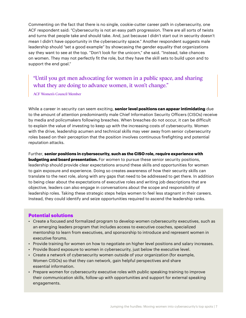Commenting on the fact that there is no single, cookie-cutter career path in cybersecurity, one ACF respondent said: "Cybersecurity is not an easy path progression. There are all sorts of twists and turns that people take and should take. And, just because I didn't start out in security doesn't mean I didn't have opportunity in the cybersecurity space." Another respondent suggests male leadership should "set a good example" by showcasing the gender equality that organizations say they want to see at the top. "Don't look for the unicorn," she said. "Instead, take chances on women. They may not perfectly fit the role, but they have the skill sets to build upon and to support the end goal."

### "Until you get men advocating for women in a public space, and sharing what they are doing to advance women, it won't change."

ACF Women's Council Member

While a career in security can seem exciting, **senior level positions can appear intimidating** due to the amount of attention predominantly male Chief Information Security Officers (CISOs) receive by media and policymakers following breaches. When breaches do not occur, it can be difficult to explain the value of investing to keep up with the increasing costs of cybersecurity. Women with the drive, leadership acumen and technical skills may veer away from senior cybersecurity roles based on their perception that the position involves continuous firefighting and potential reputation attacks.

Further, **senior positions in cybersecurity, such as the CISO role, require experience with budgeting and board presentation.** For women to pursue these senior security positions, leadership should provide clear expectations around these skills and opportunities for women to gain exposure and experience. Doing so creates awareness of how their security skills can translate to the next role, along with any gaps that need to be addressed to get there. In addition to being clear about the expectations of executive roles and writing job descriptions that are objective, leaders can also engage in conversations about the scope and responsibility of leadership roles. Taking these strategic steps helps women to feel less stagnant in their careers. Instead, they could identify and seize opportunities required to ascend the leadership ranks.

#### **Potential solutions**

- Create a focused and formalized program to develop women cybersecurity executives, such as an emerging leaders program that includes access to executive coaches, specialized mentorship to learn from executives, and sponsorship to introduce and represent women in executive forums.
- Provide training for women on how to negotiate on higher level positions and salary increases.
- Provide Board exposure to women in cybersecurity, just below the executive level.
- Create a network of cybersecurity women outside of your organization (for example, Women CISOs) so that they can network, gain helpful perspectives and share essential information.
- Prepare women for cybersecurity executive roles with public speaking training to improve their communication skills, follow-up with opportunities and support for external speaking engagements.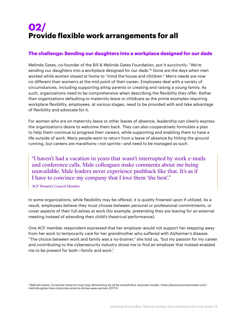## **02/ Provide flexible work arrangements for all**

#### **The challenge: Sending our daughters into a workplace designed for our dads**

Melinda Gates, co-founder of the Bill & Melinda Gates Foundation, put it succinctly: "We're sending our daughters into a workplace designed for our dads."6 Gone are the days when men worked while women stayed at home to "mind the house and children." Men's needs are now no different than women's at the mid-point of their career. Employees deal with a variety of circumstances, including supporting ailing parents or creating and raising a young family. As such, organizations need to be comprehensive when describing the flexibility they offer. Rather than organizations defaulting to maternity leave or childcare as the prime examples requiring workplace flexibility, employees, at various stages, need to be provided with and take advantage of flexibility and advocate for it.

For women who are on maternity leave or other leaves of absence, leadership can clearly express the organization's desire to welcome them back. They can also cooperatively formulate a plan to help them continue to progress their careers, while supporting and enabling them to have a life outside of work. Many people want to return from a leave of absence by hitting the ground running, but careers are marathons—not sprints—and need to be managed as such.

"I haven't had a vacation in years that wasn't interrupted by work e-mails and conference calls. Male colleagues make comments about me being unavailable. Male leaders never experience pushback like that. It's as if I have to convince my company that I love them 'the best'."

ACF Women's Council Member

In some organizations, while flexibility may be offered, it is quietly frowned upon if utilized. As a result, employees believe they must choose between personal or professional commitments, or cover aspects of their full selves at work (for example, pretending they are leaving for an external meeting instead of attending their child's theatrical performance).

One ACF member respondent expressed that her employer would not support her stepping away from her work to temporarily care for her grandmother who suffered with Alzheimer's disease. "The choice between work and family was a no-brainer," she told us, "but my passion for my career and contributing to the cybersecurity industry drove me to find an employer that instead enabled me to be present for both—family and work."

6 Melinda Gates: Corporate America must stop demanding we all be workaholics, *Business Insider*, https://www.businessinsider.com/ melinda-gates-how-corporate-america-drives-away-women-2017-9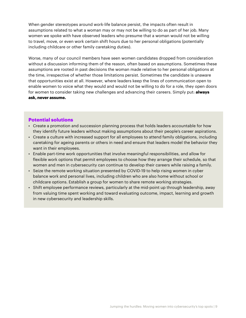When gender stereotypes around work-life balance persist, the impacts often result in assumptions related to what a woman may or may not be willing to do as part of her job. Many women we spoke with have observed leaders who presume that a woman would not be willing to travel, move, or even work certain shift hours due to her personal obligations (potentially including childcare or other family caretaking duties).

Worse, many of our council members have seen women candidates dropped from consideration without a discussion informing them of the reason, often based on assumptions. Sometimes these assumptions are rooted in past decisions the woman made relative to her personal obligations at the time, irrespective of whether those limitations persist. Sometimes the candidate is unaware that opportunities exist at all. However, where leaders keep the lines of communication open to enable women to voice what they would and would not be willing to do for a role, they open doors for women to consider taking new challenges and advancing their careers. Simply put: **always ask, never assume.**

#### **Potential solutions**

- Create a promotion and succession planning process that holds leaders accountable for how they identify future leaders without making assumptions about their people's career aspirations.
- Create a culture with increased support for all employees to attend family obligations, including caretaking for ageing parents or others in need and ensure that leaders model the behavior they want in their employees.
- Enable part-time work opportunities that involve meaningful responsibilities, and allow for flexible work options that permit employees to choose how they arrange their schedule, so that women and men in cybersecurity can continue to develop their careers while raising a family.
- Seize the remote working situation presented by COVID-19 to help rising women in cyber balance work and personal lives, including children who are also home without school or childcare options. Establish a group for women to share remote working strategies.
- Shift employee performance reviews, particularly at the mid-point up through leadership, away from valuing time spent working and toward evaluating outcome, impact, learning and growth in new cybersecurity and leadership skills.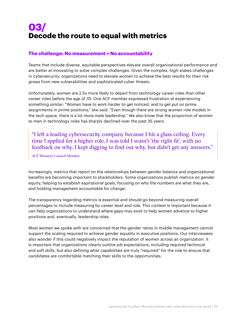## **03/ Decode the route to equal with metrics**

#### **The challenge: No measurement = No accountability**

Teams that include diverse, equitable perspectives elevate overall organizational performance and are better at innovating to solve complex challenges. Given the complex, high-stakes challenges in cybersecurity, organizations need to elevate women to achieve the best results for their risk grows from new vulnerabilities and sophisticated cyber threats.

Unfortunately, women are 2.5x more likely to depart from technology career roles than other career roles before the age of 35. One ACF member expressed frustration at experiencing something similar: "Women have to work harder to get noticed, and to get put on prime assignments in prime positions," she said. "Even though there are strong women role models in the tech space, there is a lot more male leadership." We also know that the proportion of women to men in technology roles has sharply declined over the past 35 years.

"I left a leading cybersecurity company because I hit a glass ceiling. Every time I applied for a higher role, I was told I wasn't 'the right fit', with no feedback on why. I kept digging to find out why, but didn't get any answers."

ACF Women's Council Member

Increasingly, metrics that report on the relationships between gender balance and organizational benefits are becoming important to shareholders. Some organizations publish metrics on gender equity, helping to establish aspirational goals, focusing on why the numbers are what they are, and holding management accountable for change.

The transparency regarding metrics is essential and should go beyond measuring overall percentages to include measuring by career level and role. This context is important because it can help organizations to understand where gaps may exist to help women advance to higher positions and, eventually, leadership roles.

Most women we spoke with are concerned that the gender ratios in middle management cannot support the scaling required to achieve gender equality in executive positions. Our interviewees also wonder if this could negatively impact the reputation of women across an organization. It is important that organizations clearly outline job expectations, including required technical and soft skills, but also defining what capabilities are truly "required" for the role to ensure that candidates are comfortable matching their skills to the opportunities.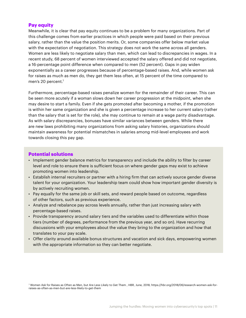#### **Pay equity**

Meanwhile, it is clear that pay equity continues to be a problem for many organizations. Part of this challenge comes from earlier practices in which people were paid based on their previous salary, rather than the value the position merits. Or, some companies offer below market value with the expectation of negotiation. This strategy does not work the same across all genders. Women are less likely to negotiate salary than men, which can lead to discrepancies in wages. In a recent study, 68 percent of women interviewed accepted the salary offered and did not negotiate, a 16-percentage point difference when compared to men (52 percent). Gaps in pay widen exponentially as a career progresses because of percentage-based raises. And, while women ask for raises as much as men do, they get them less often, at 15 percent of the time compared to men's 20 percent.<sup>7</sup>

Furthermore, percentage-based raises penalize women for the remainder of their career. This can be seen more acutely if a woman slows down her career progression at the midpoint, when she may desire to start a family. Even if she gets promoted after becoming a mother, if the promotion is within her same organization and she is given a percentage increase to her current salary (rather than the salary that is set for the role), she may continue to remain at a wage parity disadvantage. As with salary discrepancies, bonuses have similar variances between genders. While there are new laws prohibiting many organizations from asking salary histories, organizations should maintain awareness for potential mismatches in salaries among mid-level employees and work towards closing this pay gap.

#### **Potential solutions**

- Implement gender balance metrics for transparency and include the ability to filter by career level and role to ensure there is sufficient focus on where gender gaps may exist to achieve promoting women into leadership.
- Establish internal recruiters or partner with a hiring firm that can actively source gender diverse talent for your organization. Your leadership team could show how important gender diversity is by actively recruiting women.
- Pay equally for the same job or skill sets, and reward people based on outcome, regardless of other factors, such as previous experience.
- Analyze and rebalance pay across levels annually, rather than just increasing salary with percentage-based raises.
- Provide transparency around salary tiers and the variables used to differentiate within those tiers (number of degrees, performance from the previous year, and so on). Have recurring discussions with your employees about the value they bring to the organization and how that translates to your pay scale.
- Offer clarity around available bonus structures and vacation and sick days, empowering women with the appropriate information so they can better negotiate.

7 Women Ask for Raises as Often as Men, but Are Less Likely to Get Them , HBR, June, 2018, https://hbr.org/2018/06/research-women-ask-forraises-as-often-as-men-but-are-less-likely-to-get-them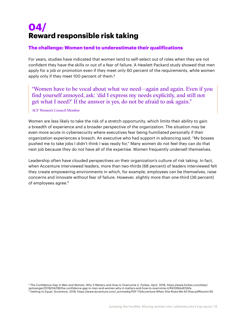## **04/ Reward responsible risk taking**

#### **The challenge: Women tend to underestimate their qualifications**

For years, studies have indicated that women tend to self-select out of roles when they are not confident they have the skills or out of a fear of failure. A Hewlett Packard study showed that men apply for a job or promotion even if they meet only 60 percent of the requirements, while women apply only if they meet 100 percent of them.<sup>8</sup>

"Women have to be vocal about what we need—again and again. Even if you find yourself annoyed, ask: 'did I express my needs explicitly, and still not get what I need?' If the answer is yes, do not be afraid to ask again."

#### ACF Women's Council Member

Women are less likely to take the risk of a stretch opportunity, which limits their ability to gain a breadth of experience and a broader perspective of the organization. The situation may be even more acute in cybersecurity where executives fear being humiliated personally if their organization experiences a breach. An executive who had support in advancing said: "My bosses pushed me to take jobs I didn't think I was ready for." Many women do not feel they can do that next job because they do not have all of the expertise. Women frequently undersell themselves.

Leadership often have clouded perspectives on their organization's culture of risk taking. In fact, when Accenture interviewed leaders, more than two-thirds (68 percent) of leaders interviewed felt they create empowering environments in which, for example, employees can be themselves, raise concerns and innovate without fear of failure. However, slightly more than one-third (36 percent) of employees agree.<sup>9</sup>

<sup>8</sup> The Confidence Gap in Men and Women: Why it Matters and How to Overcome it, *Forbes*, April, 2018, https://www.forbes.com/sites/ jackzenger/2018/04/08/the-confidence-gap-in-men-and-women-why-it-matters-and-how-to-overcome-it/#4328bbd03bfa<br>9 Getting to Fauel According port from the subset of the men-and-women-why-it-matters-and-how-to-overcome-it/#43 9 Getting to Equal, Accenture, 2018, https://www.accenture.com/\_acnmedia/PDF-73/Accenture-When-She-Rises-We-All-Rise.pdf#zoom=50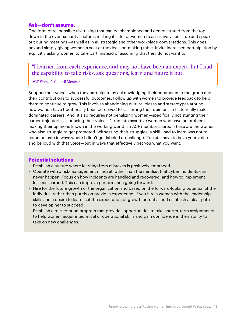#### **Ask—don't assume.**

One form of responsible risk taking that can be championed and demonstrated from the top down in the cybersecurity sector is making it safe for women to assertively speak up and speak out during meetings—as well as in all strategic and other workplace conversations. This goes beyond simply giving women a seat at the decision-making table. Invite increased participation by explicitly asking women to take part, instead of assuming that they do not want to.

### "I learned from each experience, and may not have been an expert, but I had the capability to take risks, ask questions, learn and figure it out."

#### ACF Women's Council Member

Support their voices when they participate by acknowledging their comments to the group and their contributions to successful outcomes. Follow up with women to provide feedback to help them to continue to grow. This involves abandoning cultural biases and stereotypes around how women have traditionally been perceived for asserting their opinions in historically maledominated careers. And, it also requires not penalizing women—specifically not stunting their career trajectories—for using their voices. "I run into assertive women who have no problem making their opinions known in the working world, an ACF member shared. These are the women who also struggle to get promoted. Witnessing their struggles, a skill I had to learn was not to communicate in ways where I didn't get labeled a 'challenge.' You still have to have your voice and be loud with that voice—but in ways that effectively get you what you want."

#### **Potential solutions**

- Establish a culture where learning from mistakes is positively embraced.
- Operate with a risk-management mindset rather than the mindset that cyber incidents can never happen. Focus on how incidents are handled and recovered, and how to implement lessons learned. This can improve performance going forward.
- Hire for the future growth of the organization and based on the forward-looking potential of the individual rather than purely on previous experience. If you hire a woman with the leadership skills and a desire to learn, set the expectation of growth potential and establish a clear path to develop her to succeed.
- Establish a role-rotation program that provides opportunities to take shorter-term assignments to help women acquire technical or operational skills and gain confidence in their ability to take on new challenges.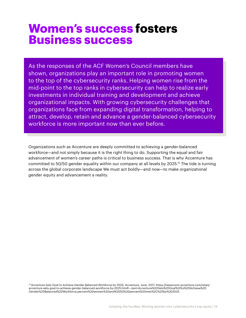# **Women's success fosters Business success**

As the responses of the ACF Women's Council members have shown, organizations play an important role in promoting women to the top of the cybersecurity ranks. Helping women rise from the mid-point to the top ranks in cybersecurity can help to realize early investments in individual training and development and achieve organizational impacts. With growing cybersecurity challenges that organizations face from expanding digital transformation, helping to attract, develop, retain and advance a gender-balanced cybersecurity workforce is more important now than ever before.

Organizations such as Accenture are deeply committed to achieving a gender-balanced workforce—and not simply because it is the right thing to do. Supporting the equal and fair advancement of women's career paths is critical to business success. That is why Accenture has committed to 50/50 gender equality within our company at all levels by 2025.<sup>10</sup> The tide is turning across the global corporate landscape We must act boldly—and now—to make organizational gender equity and advancement a reality.

10 Accenture Sets Goal to Achieve Gender Balanced Workforce by 2025, Accenture, June, 2017, https://newsroom.accenture.com/news/ accenture-sets-goal-to-achieve-gender-balanced-workforce-by-2025.htm#:~:text=Accenture%20Sets%20Goal%20to%20Achieve%20 Gender%20Balanced%20Workforce,percent%20women%20and%2050%20percent%20men%2C%20by%202025.